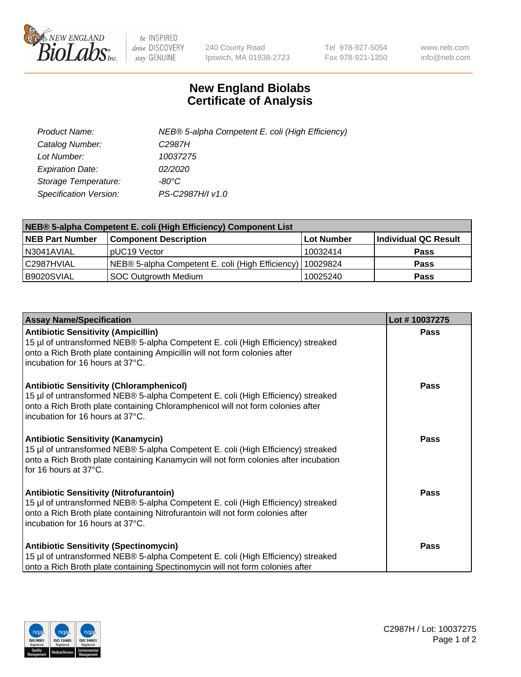

 $be$  INSPIRED drive DISCOVERY stay GENUINE

240 County Road Ipswich, MA 01938-2723 Tel 978-927-5054 Fax 978-921-1350 www.neb.com info@neb.com

## **New England Biolabs Certificate of Analysis**

| Product Name:           | NEB® 5-alpha Competent E. coli (High Efficiency) |
|-------------------------|--------------------------------------------------|
| Catalog Number:         | C <sub>2987</sub> H                              |
| Lot Number:             | 10037275                                         |
| <b>Expiration Date:</b> | <i>02/2020</i>                                   |
| Storage Temperature:    | -80°C                                            |
| Specification Version:  | PS-C2987H/I v1.0                                 |

| NEB® 5-alpha Competent E. coli (High Efficiency) Component List |                                                  |                   |                      |  |
|-----------------------------------------------------------------|--------------------------------------------------|-------------------|----------------------|--|
| <b>NEB Part Number</b>                                          | <b>Component Description</b>                     | <b>Lot Number</b> | Individual QC Result |  |
| N3041AVIAL                                                      | pUC19 Vector                                     | 10032414          | <b>Pass</b>          |  |
| C2987HVIAL                                                      | NEB® 5-alpha Competent E. coli (High Efficiency) | 10029824          | <b>Pass</b>          |  |
| B9020SVIAL                                                      | SOC Outgrowth Medium                             | 10025240          | <b>Pass</b>          |  |

| <b>Assay Name/Specification</b>                                                                                                                                                                                                                              | Lot #10037275 |
|--------------------------------------------------------------------------------------------------------------------------------------------------------------------------------------------------------------------------------------------------------------|---------------|
| <b>Antibiotic Sensitivity (Ampicillin)</b><br>15 µl of untransformed NEB® 5-alpha Competent E. coli (High Efficiency) streaked<br>onto a Rich Broth plate containing Ampicillin will not form colonies after<br>incubation for 16 hours at 37°C.             | <b>Pass</b>   |
| <b>Antibiotic Sensitivity (Chloramphenicol)</b><br>15 µl of untransformed NEB® 5-alpha Competent E. coli (High Efficiency) streaked<br>onto a Rich Broth plate containing Chloramphenicol will not form colonies after<br>l incubation for 16 hours at 37°C. | <b>Pass</b>   |
| <b>Antibiotic Sensitivity (Kanamycin)</b><br>15 µl of untransformed NEB® 5-alpha Competent E. coli (High Efficiency) streaked<br>onto a Rich Broth plate containing Kanamycin will not form colonies after incubation<br>for 16 hours at 37°C.               | Pass          |
| <b>Antibiotic Sensitivity (Nitrofurantoin)</b><br>15 µl of untransformed NEB® 5-alpha Competent E. coli (High Efficiency) streaked<br>onto a Rich Broth plate containing Nitrofurantoin will not form colonies after<br>incubation for 16 hours at 37°C.     | <b>Pass</b>   |
| <b>Antibiotic Sensitivity (Spectinomycin)</b><br>15 µl of untransformed NEB® 5-alpha Competent E. coli (High Efficiency) streaked<br>onto a Rich Broth plate containing Spectinomycin will not form colonies after                                           | <b>Pass</b>   |